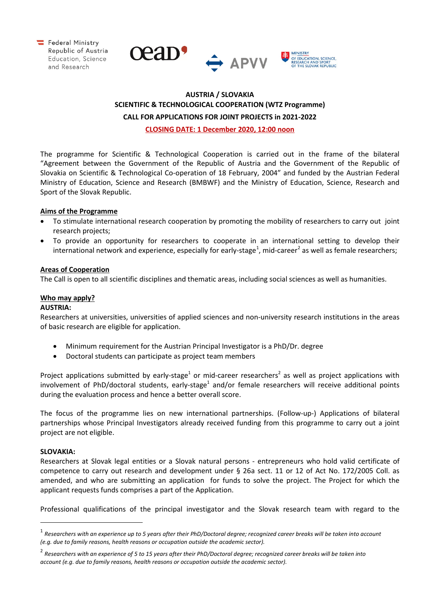





# **AUSTRIA / SLOVAKIA SCIENTIFIC & TECHNOLOGICAL COOPERATION (WTZ Programme) CALL FOR APPLICATIONS FOR JOINT PROJECTS in 2021-2022**

**CLOSING DATE: 1 December 2020, 12:00 noon**

The programme for Scientific & Technological Cooperation is carried out in the frame of the bilateral "Agreement between the Government of the Republic of Austria and the Government of the Republic of Slovakia on Scientific & Technological Co-operation of 18 February, 2004" and funded by the Austrian Federal Ministry of Education, Science and Research (BMBWF) and the Ministry of Education, Science, Research and Sport of the Slovak Republic.

## **Aims of the Programme**

- To stimulate international research cooperation by promoting the mobility of researchers to carry out joint research projects;
- To provide an opportunity for researchers to cooperate in an international setting to develop their international network and experience, especially for early-stage<sup>[1](#page-0-0)</sup>, mid-career<sup>[2](#page-0-1)</sup> as well as female researchers;

#### **Areas of Cooperation**

The Call is open to all scientific disciplines and thematic areas, including social sciences as well as humanities.

## **Who may apply?**

#### **AUSTRIA:**

Researchers at universities, universities of applied sciences and non-university research institutions in the areas of basic research are eligible for application.

- Minimum requirement for the Austrian Principal Investigator is a PhD/Dr. degree
- Doctoral students can participate as project team members

Project applications submitted by early-stage<sup>1</sup> or mid-career researchers<sup>2</sup> as well as project applications with involvement of PhD/doctoral students, early-stage<sup>1</sup> and/or female researchers will receive additional points during the evaluation process and hence a better overall score.

The focus of the programme lies on new international partnerships. (Follow-up-) Applications of bilateral partnerships whose Principal Investigators already received funding from this programme to carry out a joint project are not eligible.

#### **SLOVAKIA:**

 $\overline{a}$ 

Researchers at Slovak legal entities or a Slovak natural persons - entrepreneurs who hold valid certificate of competence to carry out research and development under § 26a sect. 11 or 12 of Act No. 172/2005 Coll. as amended, and who are submitting an application for funds to solve the project. The Project for which the applicant requests funds comprises a part of the Application.

Professional qualifications of the principal investigator and the Slovak research team with regard to the

<span id="page-0-0"></span><sup>1</sup> *Researchers with an experience up to 5 years after their PhD/Doctoral degree; recognized career breaks will be taken into account (e.g. due to family reasons, health reasons or occupation outside the academic sector).*

<span id="page-0-1"></span><sup>2</sup> *Researchers with an experience of 5 to 15 years after their PhD/Doctoral degree; recognized career breaks will be taken into account (e.g. due to family reasons, health reasons or occupation outside the academic sector).*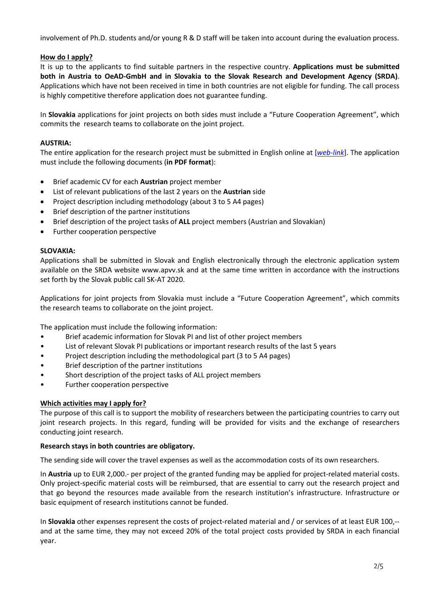involvement of Ph.D. students and/or young R & D staff will be taken into account during the evaluation process.

#### **How do I apply?**

It is up to the applicants to find suitable partners in the respective country. **Applications must be submitted both in Austria to OeAD-GmbH and in Slovakia to the Slovak Research and Development Agency (SRDA)**. Applications which have not been received in time in both countries are not eligible for funding. The call process is highly competitive therefore application does not guarantee funding.

In **Slovakia** applications for joint projects on both sides must include a "Future Cooperation Agreement", which commits the research teams to collaborate on the joint project.

#### **AUSTRIA:**

The entire application for the research project must be submitted in English online at [*[web-link](https://asp.sop.co.at/oead/antrag?call=SK2021)*]. The application must include the following documents (**in PDF format**):

- Brief academic CV for each **Austrian** project member
- List of relevant publications of the last 2 years on the **Austrian** side
- Project description including methodology (about 3 to 5 A4 pages)
- Brief description of the partner institutions
- Brief description of the project tasks of **ALL** project members (Austrian and Slovakian)
- Further cooperation perspective

#### **SLOVAKIA:**

Applications shall be submitted in Slovak and English electronically through the electronic application system available on the SRDA website www.apvv.sk and at the same time written in accordance with the instructions set forth by the Slovak public call SK-AT 2020.

Applications for joint projects from Slovakia must include a "Future Cooperation Agreement", which commits the research teams to collaborate on the joint project.

The application must include the following information:

- Brief academic information for Slovak PI and list of other project members
- List of relevant Slovak PI publications or important research results of the last 5 years
- Project description including the methodological part (3 to 5 A4 pages)
- Brief description of the partner institutions
- Short description of the project tasks of ALL project members
- Further cooperation perspective

#### **Which activities may I apply for?**

The purpose of this call is to support the mobility of researchers between the participating countries to carry out joint research projects. In this regard, funding will be provided for visits and the exchange of researchers conducting joint research.

#### **Research stays in both countries are obligatory.**

The sending side will cover the travel expenses as well as the accommodation costs of its own researchers.

In **Austria** up to EUR 2,000.- per project of the granted funding may be applied for project-related material costs. Only project-specific material costs will be reimbursed, that are essential to carry out the research project and that go beyond the resources made available from the research institution's infrastructure. Infrastructure or basic equipment of research institutions cannot be funded.

In **Slovakia** other expenses represent the costs of project-related material and / or services of at least EUR 100,- and at the same time, they may not exceed 20% of the total project costs provided by SRDA in each financial year.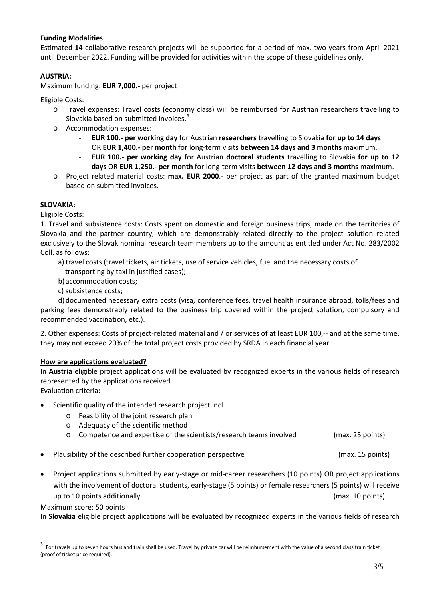## **Funding Modalities**

Estimated **14** collaborative research projects will be supported for a period of max. two years from April 2021 until December 2022. Funding will be provided for activities within the scope of these guidelines only.

## **AUSTRIA:**

Maximum funding: **EUR 7,000.-** per project

Eligible Costs:

- o Travel expenses: Travel costs (economy class) will be reimbursed for Austrian researchers travelling to Slovakia based on submitted invoices.<sup>[3](#page-2-0)</sup>
- o Accommodation expenses:
	- **EUR 100.- per working day** for Austrian **researchers** travelling to Slovakia **for up to 14 days** OR **EUR 1,400.- per month** for long-term visits **between 14 days and 3 months** maximum.
	- **EUR 100.- per working day** for Austrian **doctoral students** travelling to Slovakia **for up to 12 days** OR **EUR 1,250.- per month** for long-term visits **between 12 days and 3 months** maximum.
- o Project related material costs: **max. EUR 2000**.- per project as part of the granted maximum budget based on submitted invoices.

## **SLOVAKIA:**

Eligible Costs:

1. Travel and subsistence costs: Costs spent on domestic and foreign business trips, made on the territories of Slovakia and the partner country, which are demonstrably related directly to the project solution related exclusively to the Slovak nominal research team members up to the amount as entitled under Act No. 283/2002 Coll. as follows:

- a) travel costs (travel tickets, air tickets, use of service vehicles, fuel and the necessary costs of transporting by taxi in justified cases);
- b) accommodation costs;
- c) subsistence costs;

 d)documented necessary extra costs (visa, conference fees, travel health insurance abroad, tolls/fees and parking fees demonstrably related to the business trip covered within the project solution, compulsory and recommended vaccination, etc.).

2. Other expenses: Costs of project-related material and / or services of at least EUR 100,-- and at the same time, they may not exceed 20% of the total project costs provided by SRDA in each financial year.

## **How are applications evaluated?**

In **Austria** eligible project applications will be evaluated by recognized experts in the various fields of research represented by the applications received.

Evaluation criteria:

- Scientific quality of the intended research project incl.
	- o Feasibility of the joint research plan
	- o Adequacy of the scientific method
	- o Competence and expertise of the scientists/research teams involved (max. 25 points)
- Plausibility of the described further cooperation perspective example and max. 15 points)
- Project applications submitted by early-stage or mid-career researchers (10 points) OR project applications with the involvement of doctoral students, early-stage (5 points) or female researchers (5 points) will receive up to 10 points additionally. (max. 10 points)

Maximum score: 50 points

<u>.</u>

In **Slovakia** eligible project applications will be evaluated by recognized experts in the various fields of research

<span id="page-2-0"></span> $3$  For travels up to seven hours bus and train shall be used. Travel by private car will be reimbursement with the value of a second class train ticket (proof of ticket price required).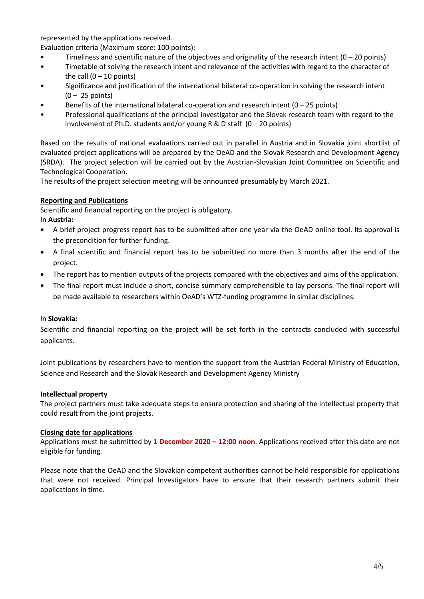represented by the applications received.

Evaluation criteria (Maximum score: 100 points):

- Timeliness and scientific nature of the objectives and originality of the research intent  $(0 20$  points)
- Timetable of solving the research intent and relevance of the activities with regard to the character of the call  $(0 - 10$  points)
- Significance and justification of the international bilateral co-operation in solving the research intent  $(0 - 25$  points)
- Benefits of the international bilateral co-operation and research intent  $(0 25$  points)
- Professional qualifications of the principal investigator and the Slovak research team with regard to the involvement of Ph.D. students and/or young R & D staff  $(0 - 20$  points)

Based on the results of national evaluations carried out in parallel in Austria and in Slovakia joint shortlist of evaluated project applications will be prepared by the OeAD and the Slovak Research and Development Agency (SRDA). The project selection will be carried out by the Austrian-Slovakian Joint Committee on Scientific and Technological Cooperation.

The results of the project selection meeting will be announced presumably by March 2021.

## **Reporting and Publications**

Scientific and financial reporting on the project is obligatory.

In **Austria:**

- A brief project progress report has to be submitted after one year via the OeAD online tool. Its approval is the precondition for further funding.
- A final scientific and financial report has to be submitted no more than 3 months after the end of the project.
- The report has to mention outputs of the projects compared with the objectives and aims of the application.
- The final report must include a short, concise summary comprehensible to lay persons. The final report will be made available to researchers within OeAD's WTZ-funding programme in similar disciplines.

## In **Slovakia:**

Scientific and financial reporting on the project will be set forth in the contracts concluded with successful applicants.

Joint publications by researchers have to mention the support from the Austrian Federal Ministry of Education, Science and Research and the Slovak Research and Development Agency Ministry

## **Intellectual property**

The project partners must take adequate steps to ensure protection and sharing of the intellectual property that could result from the joint projects.

## **Closing date for applications**

Applications must be submitted by **1 December 2020 – 12:00 noon**. Applications received after this date are not eligible for funding.

Please note that the OeAD and the Slovakian competent authorities cannot be held responsible for applications that were not received. Principal Investigators have to ensure that their research partners submit their applications in time.